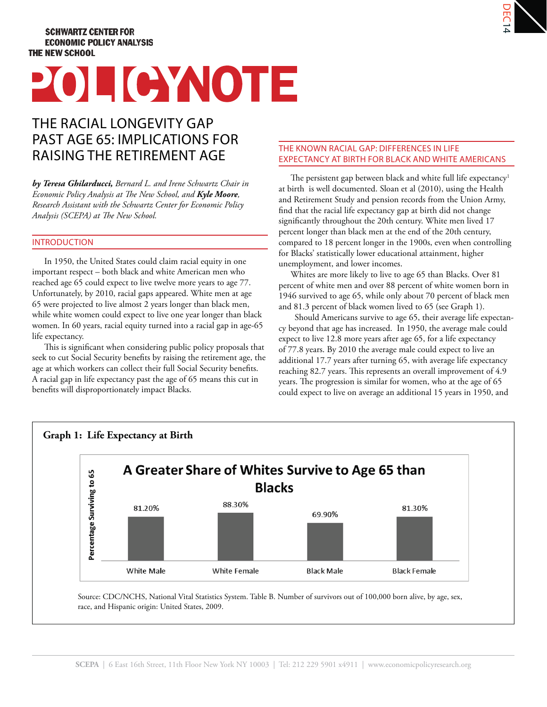# **SCHWARTZ CENTER FOR ECONOMIC POLICY ANALYSIS THE NEW SCHOOL**

# POLICYNOTE

# THE RACIAL LONGEVITY GAP PAST AGE 65: IMPLICATIONS FOR RAISING THE RETIREMENT AGE

*by Teresa Ghilarducci, Bernard L. and Irene Schwartz Chair in Economic Policy Analysis at The New School, and <i>Kyle Moore*, *Research Assistant with the Schwartz Center for Economic Policy Analysis (SCEPA) at The New School.* 

#### INTRODUCTION

In 1950, the United States could claim racial equity in one important respect – both black and white American men who reached age 65 could expect to live twelve more years to age 77. Unfortunately, by 2010, racial gaps appeared. White men at age 65 were projected to live almost 2 years longer than black men, while white women could expect to live one year longer than black women. In 60 years, racial equity turned into a racial gap in age-65 life expectancy.

This is significant when considering public policy proposals that seek to cut Social Security benefits by raising the retirement age, the age at which workers can collect their full Social Security benefits. A racial gap in life expectancy past the age of 65 means this cut in benefits will disproportionately impact Blacks.

### THE KNOWN RACIAL GAP: DIFFERENCES IN LIFE EXPECTANCY AT BIRTH FOR BLACK AND WHITE AMERICANS

The persistent gap between black and white full life expectancy<sup>1</sup> at birth is well documented. Sloan et al (2010), using the Health and Retirement Study and pension records from the Union Army, find that the racial life expectancy gap at birth did not change significantly throughout the 20th century. White men lived 17 percent longer than black men at the end of the 20th century, compared to 18 percent longer in the 1900s, even when controlling for Blacks' statistically lower educational attainment, higher unemployment, and lower incomes.

Whites are more likely to live to age 65 than Blacks. Over 81 percent of white men and over 88 percent of white women born in 1946 survived to age 65, while only about 70 percent of black men and 81.3 percent of black women lived to 65 (see Graph 1).

Should Americans survive to age 65, their average life expectancy beyond that age has increased. In 1950, the average male could expect to live 12.8 more years after age 65, for a life expectancy of 77.8 years. By 2010 the average male could expect to live an additional 17.7 years after turning 65, with average life expectancy reaching 82.7 years. This represents an overall improvement of 4.9 years. The progression is similar for women, who at the age of 65 could expect to live on average an additional 15 years in 1950, and



Source: CDC/NCHS, National Vital Statistics System. Table B. Number of survivors out of 100,000 born alive, by age, sex, race, and Hispanic origin: United States, 2009.

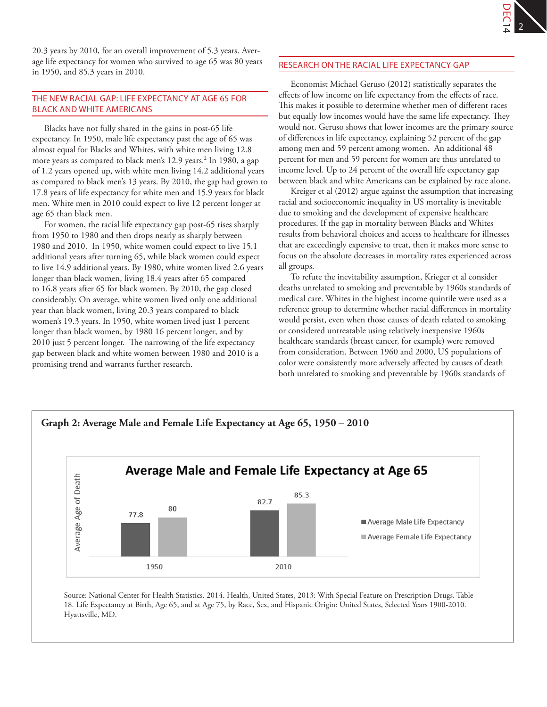20.3 years by 2010, for an overall improvement of 5.3 years. Average life expectancy for women who survived to age 65 was 80 years in 1950, and 85.3 years in 2010.

# THE NEW RACIAL GAP: LIFE EXPECTANCY AT AGE 65 FOR BLACK AND WHITE AMERICANS

Blacks have not fully shared in the gains in post-65 life expectancy. In 1950, male life expectancy past the age of 65 was almost equal for Blacks and Whites, with white men living 12.8 more years as compared to black men's 12.9 years.2 In 1980, a gap of 1.2 years opened up, with white men living 14.2 additional years as compared to black men's 13 years. By 2010, the gap had grown to 17.8 years of life expectancy for white men and 15.9 years for black men. White men in 2010 could expect to live 12 percent longer at age 65 than black men.

For women, the racial life expectancy gap post-65 rises sharply from 1950 to 1980 and then drops nearly as sharply between 1980 and 2010. In 1950, white women could expect to live 15.1 additional years after turning 65, while black women could expect to live 14.9 additional years. By 1980, white women lived 2.6 years longer than black women, living 18.4 years after 65 compared to 16.8 years after 65 for black women. By 2010, the gap closed considerably. On average, white women lived only one additional year than black women, living 20.3 years compared to black women's 19.3 years. In 1950, white women lived just 1 percent longer than black women, by 1980 16 percent longer, and by 2010 just 5 percent longer. The narrowing of the life expectancy gap between black and white women between 1980 and 2010 is a promising trend and warrants further research.

## RESEARCH ON THE RACIAL LIFE EXPECTANCY GAP

Economist Michael Geruso (2012) statistically separates the effects of low income on life expectancy from the effects of race. This makes it possible to determine whether men of different races but equally low incomes would have the same life expectancy. They would not. Geruso shows that lower incomes are the primary source of differences in life expectancy, explaining 52 percent of the gap among men and 59 percent among women. An additional 48 percent for men and 59 percent for women are thus unrelated to income level. Up to 24 percent of the overall life expectancy gap between black and white Americans can be explained by race alone.

Kreiger et al (2012) argue against the assumption that increasing racial and socioeconomic inequality in US mortality is inevitable due to smoking and the development of expensive healthcare procedures. If the gap in mortality between Blacks and Whites results from behavioral choices and access to healthcare for illnesses that are exceedingly expensive to treat, then it makes more sense to focus on the absolute decreases in mortality rates experienced across all groups.

To refute the inevitability assumption, Krieger et al consider deaths unrelated to smoking and preventable by 1960s standards of medical care. Whites in the highest income quintile were used as a reference group to determine whether racial differences in mortality would persist, even when those causes of death related to smoking or considered untreatable using relatively inexpensive 1960s healthcare standards (breast cancer, for example) were removed from consideration. Between 1960 and 2000, US populations of color were consistently more adversely affected by causes of death both unrelated to smoking and preventable by 1960s standards of



Source: National Center for Health Statistics. 2014. Health, United States, 2013: With Special Feature on Prescription Drugs. Table 18. Life Expectancy at Birth, Age 65, and at Age 75, by Race, Sex, and Hispanic Origin: United States, Selected Years 1900-2010. Hyattsville, MD.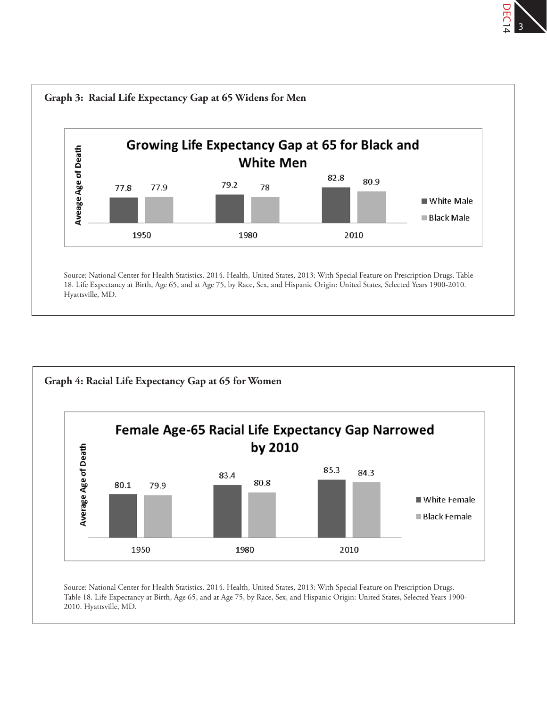



Source: National Center for Health Statistics. 2014. Health, United States, 2013: With Special Feature on Prescription Drugs. Table 18. Life Expectancy at Birth, Age 65, and at Age 75, by Race, Sex, and Hispanic Origin: United States, Selected Years 1900- 2010. Hyattsville, MD.